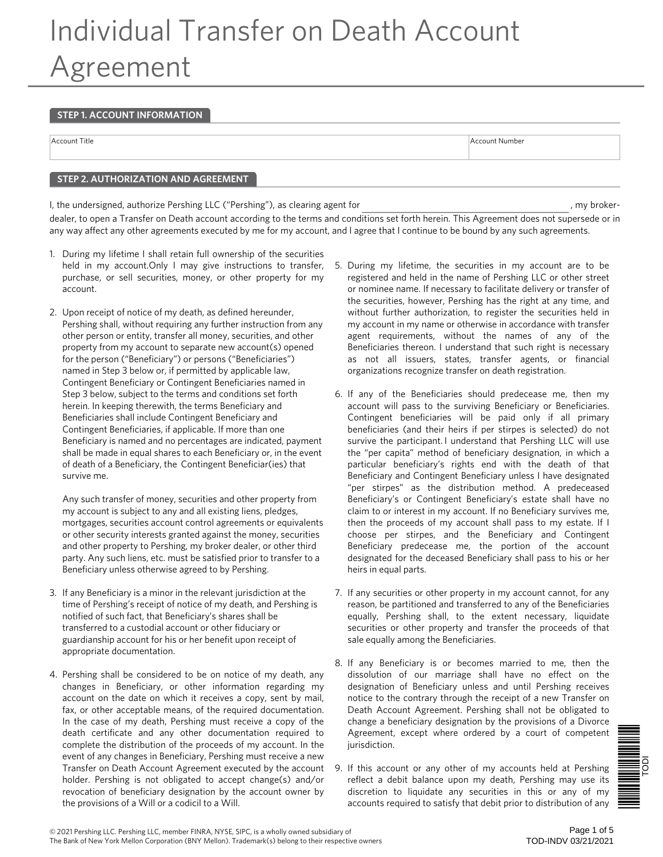# Individual Transfer on Death Account Agreement

#### **STEP 1. ACCOUNT INFORMATION**

Account Title Account Number and Account Number and Account Number and Account Number and Account Number and A

### **STEP 2. AUTHORIZATION AND AGREEMENT**

I, the undersigned, authorize Pershing LLC ("Pershing"), as clearing agent for  $\blacksquare$ , my brokerdealer, to open a Transfer on Death account according to the terms and conditions set forth herein. This Agreement does not supersede or in any way affect any other agreements executed by me for my account, and I agree that I continue to be bound by any such agreements.

- 1. During my lifetime I shall retain full ownership of the securities held in my account. Only I may give instructions to transfer, purchase, or sell securities, money, or other property for my account.
- 2. Upon receipt of notice of my death, as defined hereunder, Pershing shall, without requiring any further instruction from any other person or entity, transfer all money, securities, and other property from my account to separate new account(s) opened for the person ("Beneficiary") or persons ("Beneficiaries") named in Step 3 below or, if permitted by applicable law, Contingent Beneficiary or Contingent Beneficiaries named in Step 3 below, subject to the terms and conditions set forth herein. In keeping therewith, the terms Beneficiary and Beneficiaries shall include Contingent Beneficiary and Contingent Beneficiaries, if applicable. If more than one Beneficiary is named and no percentages are indicated, payment shall be made in equal shares to each Beneficiary or, in the event of death of a Beneficiary, the Contingent Beneficiar(ies) that survive me.

Any such transfer of money, securities and other property from my account is subject to any and all existing liens, pledges, mortgages, securities account control agreements or equivalents or other security interests granted against the money, securities and other property to Pershing, my broker dealer, or other third party. Any such liens, etc. must be satisfied prior to transfer to a Beneficiary unless otherwise agreed to by Pershing.

- 3. If any Beneficiary is a minor in the relevant jurisdiction at the time of Pershing's receipt of notice of my death, and Pershing is notified of such fact, that Beneficiary's shares shall be transferred to a custodial account or other fiduciary or guardianship account for his or her benefit upon receipt of appropriate documentation.
- 4. Pershing shall be considered to be on notice of my death, any changes in Beneficiary, or other information regarding my account on the date on which it receives a copy, sent by mail, fax, or other acceptable means, of the required documentation. In the case of my death, Pershing must receive a copy of the death certificate and any other documentation required to complete the distribution of the proceeds of my account. In the event of any changes in Beneficiary, Pershing must receive a new Transfer on Death Account Agreement executed by the account holder. Pershing is not obligated to accept change(s) and/or revocation of beneficiary designation by the account owner by the provisions of a Will or a codicil to a Will.
- 5. During my lifetime, the securities in my account are to be registered and held in the name of Pershing LLC or other street or nominee name. If necessary to facilitate delivery or transfer of the securities, however, Pershing has the right at any time, and without further authorization, to register the securities held in my account in my name or otherwise in accordance with transfer agent requirements, without the names of any of the Beneficiaries thereon. I understand that such right is necessary as not all issuers, states, transfer agents, or financial organizations recognize transfer on death registration.
- 6. If any of the Beneficiaries should predecease me, then my account will pass to the surviving Beneficiary or Beneficiaries. Contingent beneficiaries will be paid only if all primary beneficiaries (and their heirs if per stirpes is selected) do not survive the participant. I understand that Pershing LLC will use the "per capita" method of beneficiary designation, in which a particular beneficiary's rights end with the death of that Beneficiary and Contingent Beneficiary unless I have designated "per stirpes" as the distribution method. A predeceased Beneficiary's or Contingent Beneficiary's estate shall have no claim to or interest in my account. If no Beneficiary survives me, then the proceeds of my account shall pass to my estate. If I choose per stirpes, and the Beneficiary and Contingent Beneficiary predecease me, the portion of the account designated for the deceased Beneficiary shall pass to his or her heirs in equal parts.
- 7. If any securities or other property in my account cannot, for any reason, be partitioned and transferred to any of the Beneficiaries equally, Pershing shall, to the extent necessary, liquidate securities or other property and transfer the proceeds of that sale equally among the Beneficiaries.
- 8. If any Beneficiary is or becomes married to me, then the dissolution of our marriage shall have no effect on the designation of Beneficiary unless and until Pershing receives notice to the contrary through the receipt of a new Transfer on Death Account Agreement. Pershing shall not be obligated to change a beneficiary designation by the provisions of a Divorce Agreement, except where ordered by a court of competent jurisdiction.
- 9. If this account or any other of my accounts held at Pershing reflect a debit balance upon my death, Pershing may use its discretion to liquidate any securities in this or any of my accounts required to satisfy that debit prior to distribution of any

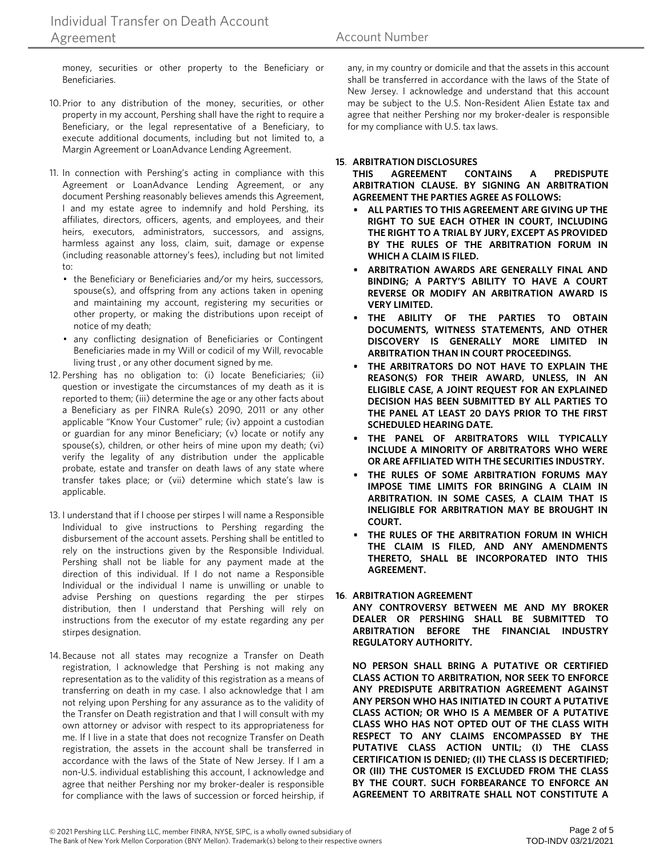money, securities or other property to the Beneficiary or Beneficiaries.

- 10.Prior to any distribution of the money, securities, or other property in my account, Pershing shall have the right to require a Beneficiary, or the legal representative of a Beneficiary, to execute additional documents, including but not limited to, a Margin Agreement or LoanAdvance Lending Agreement.
- 11. In connection with Pershing's acting in compliance with this Agreement or LoanAdvance Lending Agreement, or any document Pershing reasonably believes amends this Agreement, I and my estate agree to indemnify and hold Pershing, its affiliates, directors, officers, agents, and employees, and their heirs, executors, administrators, successors, and assigns, harmless against any loss, claim, suit, damage or expense (including reasonable attorney's fees), including but not limited to:
	- the Beneficiary or Beneficiaries and/or my heirs, successors, spouse(s), and offspring from any actions taken in opening and maintaining my account, registering my securities or other property, or making the distributions upon receipt of notice of my death;
	- any conflicting designation of Beneficiaries or Contingent Beneficiaries made in my Will or codicil of my Will, revocable living trust , or any other document signed by me.
- 12. Pershing has no obligation to: (i) locate Beneficiaries; (ii) question or investigate the circumstances of my death as it is reported to them; (iii) determine the age or any other facts about a Beneficiary as per FINRA Rule(s) 2090, 2011 or any other applicable "Know Your Customer" rule; (iv) appoint a custodian or guardian for any minor Beneficiary; (v) locate or notify any spouse(s), children, or other heirs of mine upon my death; (vi) verify the legality of any distribution under the applicable probate, estate and transfer on death laws of any state where transfer takes place; or (vii) determine which state's law is applicable.
- 13. I understand that if I choose per stirpes I will name a Responsible Individual to give instructions to Pershing regarding the disbursement of the account assets. Pershing shall be entitled to rely on the instructions given by the Responsible Individual. Pershing shall not be liable for any payment made at the direction of this individual. If I do not name a Responsible Individual or the individual I name is unwilling or unable to advise Pershing on questions regarding the per stirpes distribution, then I understand that Pershing will rely on instructions from the executor of my estate regarding any per stirpes designation.
- 14. Because not all states may recognize a Transfer on Death registration, I acknowledge that Pershing is not making any representation as to the validity of this registration as a means of transferring on death in my case. I also acknowledge that I am not relying upon Pershing for any assurance as to the validity of the Transfer on Death registration and that I will consult with my own attorney or advisor with respect to its appropriateness for me. If I live in a state that does not recognize Transfer on Death registration, the assets in the account shall be transferred in accordance with the laws of the State of New Jersey. If I am a non-U.S. individual establishing this account, I acknowledge and agree that neither Pershing nor my broker-dealer is responsible for compliance with the laws of succession or forced heirship, if

any, in my country or domicile and that the assets in this account shall be transferred in accordance with the laws of the State of New Jersey. I acknowledge and understand that this account may be subject to the U.S. Non-Resident Alien Estate tax and agree that neither Pershing nor my broker-dealer is responsible for my compliance with U.S. tax laws.

#### **15**. **ARBITRATION DISCLOSURES**

**THIS AGREEMENT CONTAINS A PREDISPUTE ARBITRATION CLAUSE. BY SIGNING AN ARBITRATION AGREEMENT THE PARTIES AGREE AS FOLLOWS:**

- **ALL PARTIES TO THIS AGREEMENT ARE GIVING UP THE RIGHT TO SUE EACH OTHER IN COURT, INCLUDING THE RIGHT TO A TRIAL BY JURY, EXCEPT AS PROVIDED BY THE RULES OF THE ARBITRATION FORUM IN WHICH A CLAIM IS FILED.**
- **• ARBITRATION AWARDS ARE GENERALLY FINAL AND BINDING; A PARTY'S ABILITY TO HAVE A COURT REVERSE OR MODIFY AN ARBITRATION AWARD IS VERY LIMITED.**
- **• THE ABILITY OF THE PARTIES TO OBTAIN DOCUMENTS, WITNESS STATEMENTS, AND OTHER DISCOVERY IS GENERALLY MORE LIMITED IN ARBITRATION THAN IN COURT PROCEEDINGS.**
- **• THE ARBITRATORS DO NOT HAVE TO EXPLAIN THE REASON(S) FOR THEIR AWARD, UNLESS, IN AN ELIGIBLE CASE, A JOINT REQUEST FOR AN EXPLAINED DECISION HAS BEEN SUBMITTED BY ALL PARTIES TO THE PANEL AT LEAST 20 DAYS PRIOR TO THE FIRST SCHEDULED HEARING DATE.**
- **• THE PANEL OF ARBITRATORS WILL TYPICALLY INCLUDE A MINORITY OF ARBITRATORS WHO WERE OR ARE AFFILIATED WITH THE SECURITIES INDUSTRY.**
- **• THE RULES OF SOME ARBITRATION FORUMS MAY IMPOSE TIME LIMITS FOR BRINGING A CLAIM IN ARBITRATION. IN SOME CASES, A CLAIM THAT IS INELIGIBLE FOR ARBITRATION MAY BE BROUGHT IN COURT.**
- **• THE RULES OF THE ARBITRATION FORUM IN WHICH THE CLAIM IS FILED, AND ANY AMENDMENTS THERETO, SHALL BE INCORPORATED INTO THIS AGREEMENT.**

#### 16. ARBITRATION AGREEMENT

**ANY CONTROVERSY BETWEEN ME AND MY BROKER DEALER OR PERSHING SHALL BE SUBMITTED TO ARBITRATION BEFORE THE FINANCIAL INDUSTRY REGULATORY AUTHORITY.**

**NO PERSON SHALL BRING A PUTATIVE OR CERTIFIED CLASS ACTION TO ARBITRATION, NOR SEEK TO ENFORCE ANY PREDISPUTE ARBITRATION AGREEMENT AGAINST ANY PERSON WHO HAS INITIATED IN COURT A PUTATIVE CLASS ACTION; OR WHO IS A MEMBER OF A PUTATIVE CLASS WHO HAS NOT OPTED OUT OF THE CLASS WITH RESPECT TO ANY CLAIMS ENCOMPASSED BY THE PUTATIVE CLASS ACTION UNTIL; (I) THE CLASS CERTIFICATION IS DENIED; (II) THE CLASS IS DECERTIFIED; OR (III) THE CUSTOMER IS EXCLUDED FROM THE CLASS BY THE COURT. SUCH FORBEARANCE TO ENFORCE AN AGREEMENT TO ARBITRATE SHALL NOT CONSTITUTE A**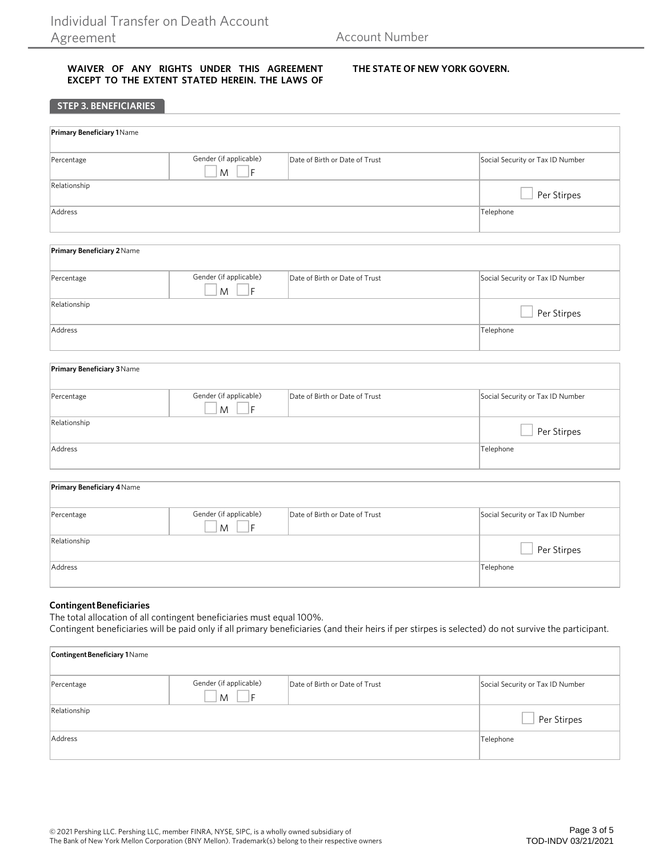**STEP 3. BENEFICIARIES**

#### **WAIVER OF ANY RIGHTS UNDER THIS AGREEMENT EXCEPT TO THE EXTENT STATED HEREIN. THE LAWS OF**

#### **THE STATE OF NEW YORK GOVERN.**

| <b>Primary Beneficiary 1 Name</b> |                                          |                                |                                  |
|-----------------------------------|------------------------------------------|--------------------------------|----------------------------------|
|                                   |                                          |                                |                                  |
| Percentage                        | Gender (if applicable)<br>.<br>IF<br>M   | Date of Birth or Date of Trust | Social Security or Tax ID Number |
| Relationship                      |                                          |                                | Per Stirpes                      |
| Address                           |                                          |                                | Telephone                        |
| Primary Beneficiary 2 Name        |                                          |                                |                                  |
|                                   |                                          |                                |                                  |
| Percentage                        | Gender (if applicable)<br>F<br>${\sf M}$ | Date of Birth or Date of Trust | Social Security or Tax ID Number |
| Relationship                      |                                          |                                | Per Stirpes                      |
| Address                           |                                          |                                | Telephone                        |
|                                   |                                          |                                |                                  |
| <b>Primary Beneficiary 3 Name</b> |                                          |                                |                                  |
| Percentage                        | Gender (if applicable)<br>F<br>M         | Date of Birth or Date of Trust | Social Security or Tax ID Number |
| Relationship                      |                                          |                                | Per Stirpes                      |
| Address                           |                                          |                                | Telephone                        |
|                                   |                                          |                                |                                  |
| Primary Beneficiary 4 Name        |                                          |                                |                                  |
| Percentage                        | Gender (if applicable)<br>F<br>M         | Date of Birth or Date of Trust | Social Security or Tax ID Number |
| Relationship                      |                                          |                                | Per Stirpes                      |
| Address                           |                                          |                                | Telephone                        |

#### **Contingent Beneficiaries**

The total allocation of all contingent beneficiaries must equal 100%. Contingent beneficiaries will be paid only if all primary beneficiaries (and their heirs if per stirpes is selected) do not survive the participant.

| <b>Contingent Beneficiary 1 Name</b> |                             |                                |                                  |
|--------------------------------------|-----------------------------|--------------------------------|----------------------------------|
| Percentage                           | Gender (if applicable)<br>M | Date of Birth or Date of Trust | Social Security or Tax ID Number |
| Relationship                         |                             |                                | Per Stirpes                      |
| Address                              |                             |                                | Telephone                        |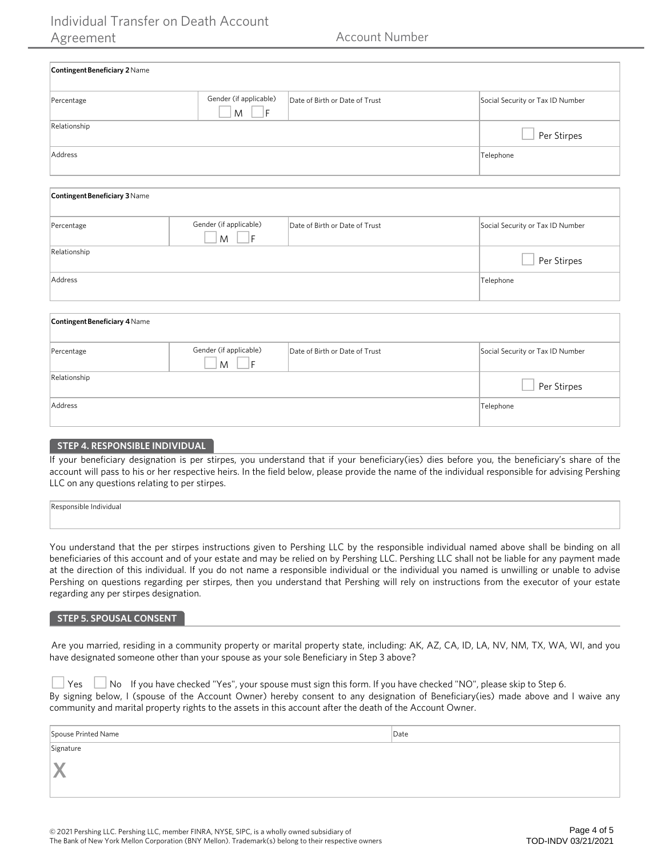## Individual Transfer on Death Account Agreement **Account Number** Account Number

| <b>Contingent Beneficiary 2 Name</b> |                                     |                                |                                  |
|--------------------------------------|-------------------------------------|--------------------------------|----------------------------------|
| Percentage                           | Gender (if applicable)<br>1F<br>M   | Date of Birth or Date of Trust | Social Security or Tax ID Number |
| Relationship                         |                                     |                                | Per Stirpes                      |
| Address                              | Telephone                           |                                |                                  |
| Contingent Beneficiary 3 Name        |                                     |                                |                                  |
| Percentage                           | Gender (if applicable)<br>- IF<br>M | Date of Birth or Date of Trust | Social Security or Tax ID Number |
| Relationship                         |                                     |                                | Per Stirpes                      |

| Address |  | $-1$<br>Telephone |
|---------|--|-------------------|
|---------|--|-------------------|

| <b>Contingent Beneficiary 4 Name</b> |                                  |                                |                                  |
|--------------------------------------|----------------------------------|--------------------------------|----------------------------------|
| Percentage                           | Gender (if applicable)<br>M<br>F | Date of Birth or Date of Trust | Social Security or Tax ID Number |
| Relationship                         |                                  |                                | Per Stirpes                      |
| Address                              |                                  |                                | Telephone                        |

#### **STEP 4. RESPONSIBLE INDIVIDUAL**

If your beneficiary designation is per stirpes, you understand that if your beneficiary(ies) dies before you, the beneficiary's share of the account will pass to his or her respective heirs. In the field below, please provide the name of the individual responsible for advising Pershing LLC on any questions relating to per stirpes.

You understand that the per stirpes instructions given to Pershing LLC by the responsible individual named above shall be binding on all beneficiaries of this account and of your estate and may be relied on by Pershing LLC. Pershing LLC shall not be liable for any payment made at the direction of this individual. If you do not name a responsible individual or the individual you named is unwilling or unable to advise Pershing on questions regarding per stirpes, then you understand that Pershing will rely on instructions from the executor of your estate regarding any per stirpes designation.

#### **STEP 5. SPOUSAL CONSENT**

 Are you married, residing in a community property or marital property state, including: AK, AZ, CA, ID, LA, NV, NM, TX, WA, WI, and you have designated someone other than your spouse as your sole Beneficiary in Step 3 above?

|  |  | $\Box$ Yes $\Box$ No If you have checked "Yes", your spouse must sign this form. If you have checked "NO", please skip to Step 6.  |  |  |  |
|--|--|------------------------------------------------------------------------------------------------------------------------------------|--|--|--|
|  |  | By signing below, I (spouse of the Account Owner) hereby consent to any designation of Beneficiary(ies) made above and I waive any |  |  |  |
|  |  | community and marital property rights to the assets in this account after the death of the Account Owner.                          |  |  |  |

| Spouse Printed Name | Date |
|---------------------|------|
| Signature           |      |
| IY<br>s ser         |      |